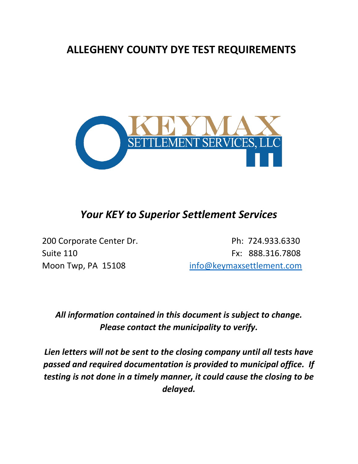## **ALLEGHENY COUNTY DYE TEST REQUIREMENTS**



## *Your KEY to Superior Settlement Services*

200 Corporate Center Dr. Ph: 724.933.6330 Suite 110 Fx: 888.316.7808 Moon Twp, PA 15108 [info@keymaxsettlement.com](mailto:info@keymaxsettlement.com)

## *All information contained in this document is subject to change. Please contact the municipality to verify.*

*Lien letters will not be sent to the closing company until all tests have passed and required documentation is provided to municipal office. If testing is not done in a timely manner, it could cause the closing to be delayed.*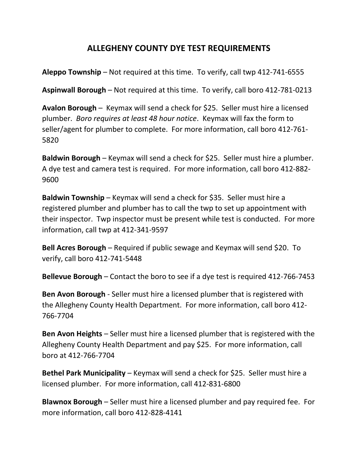## **ALLEGHENY COUNTY DYE TEST REQUIREMENTS**

**Aleppo Township** – Not required at this time. To verify, call twp 412-741-6555

**Aspinwall Borough** – Not required at this time. To verify, call boro 412-781-0213

**Avalon Borough** – Keymax will send a check for \$25. Seller must hire a licensed plumber. *Boro requires at least 48 hour notice*. Keymax will fax the form to seller/agent for plumber to complete. For more information, call boro 412-761- 5820

**Baldwin Borough** – Keymax will send a check for \$25. Seller must hire a plumber. A dye test and camera test is required. For more information, call boro 412-882- 9600

**Baldwin Township** – Keymax will send a check for \$35. Seller must hire a registered plumber and plumber has to call the twp to set up appointment with their inspector. Twp inspector must be present while test is conducted. For more information, call twp at 412-341-9597

**Bell Acres Borough** – Required if public sewage and Keymax will send \$20. To verify, call boro 412-741-5448

**Bellevue Borough** – Contact the boro to see if a dye test is required 412-766-7453

**Ben Avon Borough** - Seller must hire a licensed plumber that is registered with the Allegheny County Health Department. For more information, call boro 412- 766-7704

**Ben Avon Heights** – Seller must hire a licensed plumber that is registered with the Allegheny County Health Department and pay \$25. For more information, call boro at 412-766-7704

**Bethel Park Municipality** – Keymax will send a check for \$25. Seller must hire a licensed plumber. For more information, call 412-831-6800

**Blawnox Borough** – Seller must hire a licensed plumber and pay required fee. For more information, call boro 412-828-4141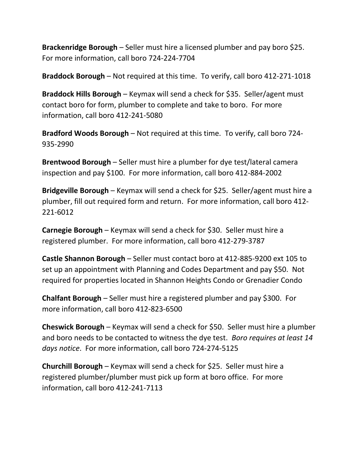**Brackenridge Borough** – Seller must hire a licensed plumber and pay boro \$25. For more information, call boro 724-224-7704

**Braddock Borough** – Not required at this time. To verify, call boro 412-271-1018

**Braddock Hills Borough** – Keymax will send a check for \$35. Seller/agent must contact boro for form, plumber to complete and take to boro. For more information, call boro 412-241-5080

**Bradford Woods Borough** – Not required at this time. To verify, call boro 724- 935-2990

**Brentwood Borough** – Seller must hire a plumber for dye test/lateral camera inspection and pay \$100. For more information, call boro 412-884-2002

**Bridgeville Borough** – Keymax will send a check for \$25. Seller/agent must hire a plumber, fill out required form and return. For more information, call boro 412- 221-6012

**Carnegie Borough** – Keymax will send a check for \$30. Seller must hire a registered plumber. For more information, call boro 412-279-3787

**Castle Shannon Borough** – Seller must contact boro at 412-885-9200 ext 105 to set up an appointment with Planning and Codes Department and pay \$50. Not required for properties located in Shannon Heights Condo or Grenadier Condo

**Chalfant Borough** – Seller must hire a registered plumber and pay \$300. For more information, call boro 412-823-6500

**Cheswick Borough** – Keymax will send a check for \$50. Seller must hire a plumber and boro needs to be contacted to witness the dye test. *Boro requires at least 14 days notice*. For more information, call boro 724-274-5125

**Churchill Borough** – Keymax will send a check for \$25. Seller must hire a registered plumber/plumber must pick up form at boro office. For more information, call boro 412-241-7113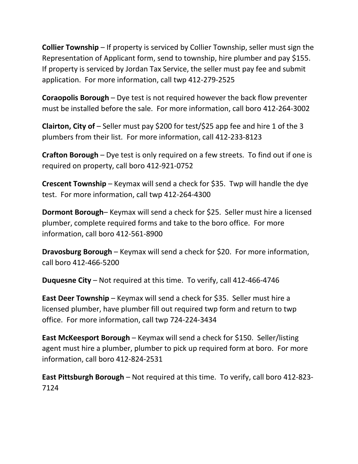**Collier Township** – If property is serviced by Collier Township, seller must sign the Representation of Applicant form, send to township, hire plumber and pay \$155. If property is serviced by Jordan Tax Service, the seller must pay fee and submit application. For more information, call twp 412-279-2525

**Coraopolis Borough** – Dye test is not required however the back flow preventer must be installed before the sale. For more information, call boro 412-264-3002

**Clairton, City of** – Seller must pay \$200 for test/\$25 app fee and hire 1 of the 3 plumbers from their list. For more information, call 412-233-8123

**Crafton Borough** – Dye test is only required on a few streets. To find out if one is required on property, call boro 412-921-0752

**Crescent Township** – Keymax will send a check for \$35. Twp will handle the dye test. For more information, call twp 412-264-4300

**Dormont Borough**– Keymax will send a check for \$25. Seller must hire a licensed plumber, complete required forms and take to the boro office. For more information, call boro 412-561-8900

**Dravosburg Borough** – Keymax will send a check for \$20. For more information, call boro 412-466-5200

**Duquesne City** – Not required at this time. To verify, call 412-466-4746

**East Deer Township** – Keymax will send a check for \$35. Seller must hire a licensed plumber, have plumber fill out required twp form and return to twp office. For more information, call twp 724-224-3434

**East McKeesport Borough** – Keymax will send a check for \$150. Seller/listing agent must hire a plumber, plumber to pick up required form at boro. For more information, call boro 412-824-2531

**East Pittsburgh Borough** – Not required at this time. To verify, call boro 412-823- 7124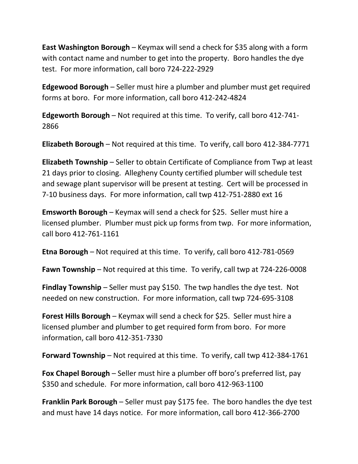**East Washington Borough** – Keymax will send a check for \$35 along with a form with contact name and number to get into the property. Boro handles the dye test. For more information, call boro 724-222-2929

**Edgewood Borough** – Seller must hire a plumber and plumber must get required forms at boro. For more information, call boro 412-242-4824

**Edgeworth Borough** – Not required at this time. To verify, call boro 412-741- 2866

**Elizabeth Borough** – Not required at this time. To verify, call boro 412-384-7771

**Elizabeth Township** – Seller to obtain Certificate of Compliance from Twp at least 21 days prior to closing. Allegheny County certified plumber will schedule test and sewage plant supervisor will be present at testing. Cert will be processed in 7-10 business days. For more information, call twp 412-751-2880 ext 16

**Emsworth Borough** – Keymax will send a check for \$25. Seller must hire a licensed plumber. Plumber must pick up forms from twp. For more information, call boro 412-761-1161

**Etna Borough** – Not required at this time. To verify, call boro 412-781-0569

**Fawn Township** – Not required at this time. To verify, call twp at 724-226-0008

**Findlay Township** – Seller must pay \$150. The twp handles the dye test. Not needed on new construction. For more information, call twp 724-695-3108

**Forest Hills Borough** – Keymax will send a check for \$25. Seller must hire a licensed plumber and plumber to get required form from boro. For more information, call boro 412-351-7330

**Forward Township** – Not required at this time. To verify, call twp 412-384-1761

**Fox Chapel Borough** – Seller must hire a plumber off boro's preferred list, pay \$350 and schedule. For more information, call boro 412-963-1100

**Franklin Park Borough** – Seller must pay \$175 fee. The boro handles the dye test and must have 14 days notice. For more information, call boro 412-366-2700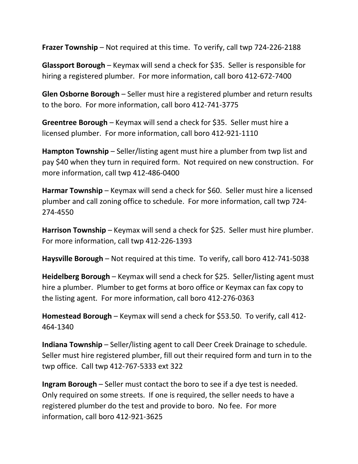**Frazer Township** – Not required at this time. To verify, call twp 724-226-2188

**Glassport Borough** – Keymax will send a check for \$35. Seller is responsible for hiring a registered plumber. For more information, call boro 412-672-7400

**Glen Osborne Borough** – Seller must hire a registered plumber and return results to the boro. For more information, call boro 412-741-3775

**Greentree Borough** – Keymax will send a check for \$35. Seller must hire a licensed plumber. For more information, call boro 412-921-1110

**Hampton Township** – Seller/listing agent must hire a plumber from twp list and pay \$40 when they turn in required form. Not required on new construction. For more information, call twp 412-486-0400

**Harmar Township** – Keymax will send a check for \$60. Seller must hire a licensed plumber and call zoning office to schedule. For more information, call twp 724- 274-4550

**Harrison Township** – Keymax will send a check for \$25. Seller must hire plumber. For more information, call twp 412-226-1393

**Haysville Borough** – Not required at this time. To verify, call boro 412-741-5038

**Heidelberg Borough** – Keymax will send a check for \$25. Seller/listing agent must hire a plumber. Plumber to get forms at boro office or Keymax can fax copy to the listing agent. For more information, call boro 412-276-0363

**Homestead Borough** – Keymax will send a check for \$53.50. To verify, call 412- 464-1340

**Indiana Township** – Seller/listing agent to call Deer Creek Drainage to schedule. Seller must hire registered plumber, fill out their required form and turn in to the twp office. Call twp 412-767-5333 ext 322

**Ingram Borough** – Seller must contact the boro to see if a dye test is needed. Only required on some streets. If one is required, the seller needs to have a registered plumber do the test and provide to boro. No fee. For more information, call boro 412-921-3625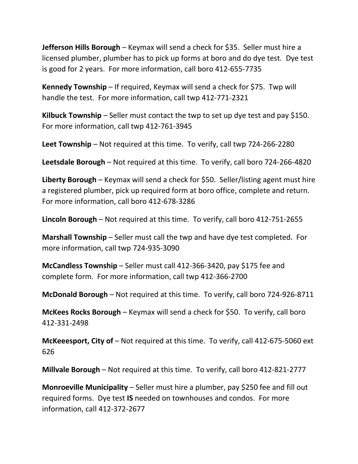**Jefferson Hills Borough** – Keymax will send a check for \$35. Seller must hire a licensed plumber, plumber has to pick up forms at boro and do dye test. Dye test is good for 2 years. For more information, call boro 412-655-7735

**Kennedy Township** – If required, Keymax will send a check for \$75. Twp will handle the test. For more information, call twp 412-771-2321

**Kilbuck Township** – Seller must contact the twp to set up dye test and pay \$150. For more information, call twp 412-761-3945

**Leet Township** – Not required at this time. To verify, call twp 724-266-2280

**Leetsdale Borough** – Not required at this time. To verify, call boro 724-266-4820

**Liberty Borough** – Keymax will send a check for \$50. Seller/listing agent must hire a registered plumber, pick up required form at boro office, complete and return. For more information, call boro 412-678-3286

**Lincoln Borough** – Not required at this time. To verify, call boro 412-751-2655

**Marshall Township** – Seller must call the twp and have dye test completed. For more information, call twp 724-935-3090

**McCandless Township** – Seller must call 412-366-3420, pay \$175 fee and complete form. For more information, call twp 412-366-2700

**McDonald Borough** – Not required at this time. To verify, call boro 724-926-8711

**McKees Rocks Borough** – Keymax will send a check for \$50. To verify, call boro 412-331-2498

**McKeeesport, City of** – Not required at this time. To verify, call 412-675-5060 ext 626

**Millvale Borough** – Not required at this time. To verify, call boro 412-821-2777

**Monroeville Municipality** – Seller must hire a plumber, pay \$250 fee and fill out required forms. Dye test **IS** needed on townhouses and condos. For more information, call 412-372-2677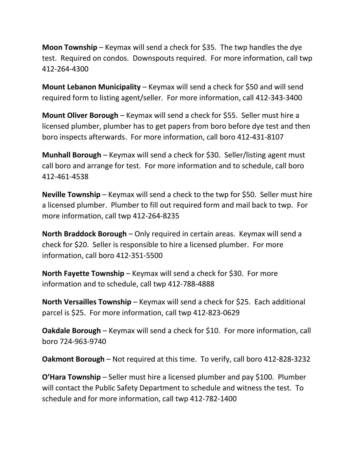**Moon Township** – Keymax will send a check for \$35. The twp handles the dye test. Required on condos. Downspouts required. For more information, call twp 412-264-4300

**Mount Lebanon Municipality** – Keymax will send a check for \$50 and will send required form to listing agent/seller. For more information, call 412-343-3400

**Mount Oliver Borough** – Keymax will send a check for \$55. Seller must hire a licensed plumber, plumber has to get papers from boro before dye test and then boro inspects afterwards. For more information, call boro 412-431-8107

**Munhall Borough** – Keymax will send a check for \$30. Seller/listing agent must call boro and arrange for test. For more information and to schedule, call boro 412-461-4538

**Neville Township** – Keymax will send a check to the twp for \$50. Seller must hire a licensed plumber. Plumber to fill out required form and mail back to twp. For more information, call twp 412-264-8235

**North Braddock Borough** – Only required in certain areas. Keymax will send a check for \$20. Seller is responsible to hire a licensed plumber. For more information, call boro 412-351-5500

**North Fayette Township** – Keymax will send a check for \$30. For more information and to schedule, call twp 412-788-4888

**North Versailles Township** – Keymax will send a check for \$25. Each additional parcel is \$25. For more information, call twp 412-823-0629

**Oakdale Borough** – Keymax will send a check for \$10. For more information, call boro 724-963-9740

**Oakmont Borough** – Not required at this time. To verify, call boro 412-828-3232

**O'Hara Township** – Seller must hire a licensed plumber and pay \$100. Plumber will contact the Public Safety Department to schedule and witness the test. To schedule and for more information, call twp 412-782-1400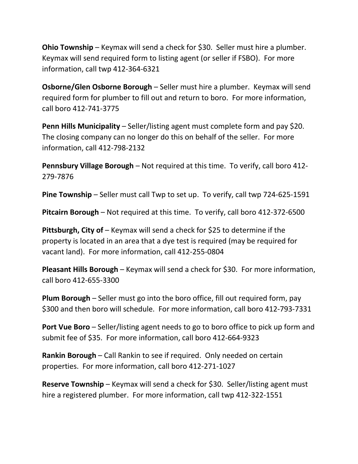**Ohio Township** – Keymax will send a check for \$30. Seller must hire a plumber. Keymax will send required form to listing agent (or seller if FSBO). For more information, call twp 412-364-6321

**Osborne/Glen Osborne Borough** – Seller must hire a plumber. Keymax will send required form for plumber to fill out and return to boro. For more information, call boro 412-741-3775

**Penn Hills Municipality** – Seller/listing agent must complete form and pay \$20. The closing company can no longer do this on behalf of the seller. For more information, call 412-798-2132

**Pennsbury Village Borough** – Not required at this time. To verify, call boro 412- 279-7876

**Pine Township** – Seller must call Twp to set up. To verify, call twp 724-625-1591

**Pitcairn Borough** – Not required at this time. To verify, call boro 412-372-6500

**Pittsburgh, City of** – Keymax will send a check for \$25 to determine if the property is located in an area that a dye test is required (may be required for vacant land). For more information, call 412-255-0804

**Pleasant Hills Borough** – Keymax will send a check for \$30. For more information, call boro 412-655-3300

**Plum Borough** – Seller must go into the boro office, fill out required form, pay \$300 and then boro will schedule. For more information, call boro 412-793-7331

**Port Vue Boro** – Seller/listing agent needs to go to boro office to pick up form and submit fee of \$35. For more information, call boro 412-664-9323

**Rankin Borough** – Call Rankin to see if required. Only needed on certain properties. For more information, call boro 412-271-1027

**Reserve Township** – Keymax will send a check for \$30. Seller/listing agent must hire a registered plumber. For more information, call twp 412-322-1551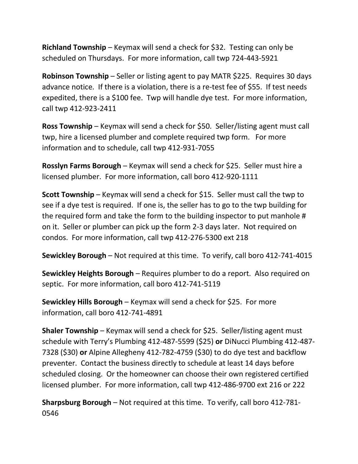**Richland Township** – Keymax will send a check for \$32. Testing can only be scheduled on Thursdays. For more information, call twp 724-443-5921

**Robinson Township** – Seller or listing agent to pay MATR \$225. Requires 30 days advance notice. If there is a violation, there is a re-test fee of \$55. If test needs expedited, there is a \$100 fee. Twp will handle dye test. For more information, call twp 412-923-2411

**Ross Township** – Keymax will send a check for \$50. Seller/listing agent must call twp, hire a licensed plumber and complete required twp form. For more information and to schedule, call twp 412-931-7055

**Rosslyn Farms Borough** – Keymax will send a check for \$25. Seller must hire a licensed plumber. For more information, call boro 412-920-1111

**Scott Township** – Keymax will send a check for \$15. Seller must call the twp to see if a dye test is required. If one is, the seller has to go to the twp building for the required form and take the form to the building inspector to put manhole # on it. Seller or plumber can pick up the form 2-3 days later. Not required on condos. For more information, call twp 412-276-5300 ext 218

**Sewickley Borough** – Not required at this time. To verify, call boro 412-741-4015

**Sewickley Heights Borough** – Requires plumber to do a report. Also required on septic. For more information, call boro 412-741-5119

**Sewickley Hills Borough** – Keymax will send a check for \$25. For more information, call boro 412-741-4891

**Shaler Township** – Keymax will send a check for \$25. Seller/listing agent must schedule with Terry's Plumbing 412-487-5599 (\$25) **or** DiNucci Plumbing 412-487- 7328 (\$30) **or** Alpine Allegheny 412-782-4759 (\$30) to do dye test and backflow preventer. Contact the business directly to schedule at least 14 days before scheduled closing. Or the homeowner can choose their own registered certified licensed plumber. For more information, call twp 412-486-9700 ext 216 or 222

**Sharpsburg Borough** – Not required at this time. To verify, call boro 412-781- 0546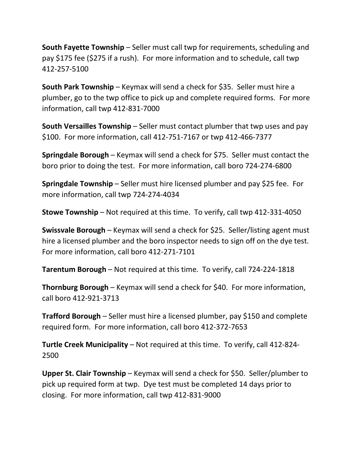**South Fayette Township** – Seller must call twp for requirements, scheduling and pay \$175 fee (\$275 if a rush). For more information and to schedule, call twp 412-257-5100

**South Park Township** – Keymax will send a check for \$35. Seller must hire a plumber, go to the twp office to pick up and complete required forms. For more information, call twp 412-831-7000

**South Versailles Township** – Seller must contact plumber that twp uses and pay \$100. For more information, call 412-751-7167 or twp 412-466-7377

**Springdale Borough** – Keymax will send a check for \$75. Seller must contact the boro prior to doing the test. For more information, call boro 724-274-6800

**Springdale Township** – Seller must hire licensed plumber and pay \$25 fee. For more information, call twp 724-274-4034

**Stowe Township** – Not required at this time. To verify, call twp 412-331-4050

**Swissvale Borough** – Keymax will send a check for \$25. Seller/listing agent must hire a licensed plumber and the boro inspector needs to sign off on the dye test. For more information, call boro 412-271-7101

**Tarentum Borough** – Not required at this time. To verify, call 724-224-1818

**Thornburg Borough** – Keymax will send a check for \$40. For more information, call boro 412-921-3713

**Trafford Borough** – Seller must hire a licensed plumber, pay \$150 and complete required form. For more information, call boro 412-372-7653

**Turtle Creek Municipality** – Not required at this time. To verify, call 412-824- 2500

**Upper St. Clair Township** – Keymax will send a check for \$50. Seller/plumber to pick up required form at twp. Dye test must be completed 14 days prior to closing. For more information, call twp 412-831-9000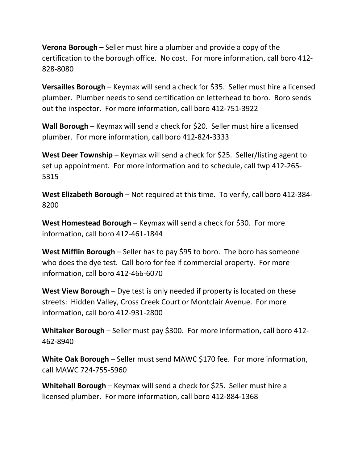**Verona Borough** – Seller must hire a plumber and provide a copy of the certification to the borough office. No cost. For more information, call boro 412- 828-8080

**Versailles Borough** – Keymax will send a check for \$35. Seller must hire a licensed plumber. Plumber needs to send certification on letterhead to boro. Boro sends out the inspector. For more information, call boro 412-751-3922

**Wall Borough** – Keymax will send a check for \$20. Seller must hire a licensed plumber. For more information, call boro 412-824-3333

**West Deer Township** – Keymax will send a check for \$25. Seller/listing agent to set up appointment. For more information and to schedule, call twp 412-265- 5315

**West Elizabeth Borough** – Not required at this time. To verify, call boro 412-384- 8200

**West Homestead Borough** – Keymax will send a check for \$30. For more information, call boro 412-461-1844

**West Mifflin Borough** – Seller has to pay \$95 to boro. The boro has someone who does the dye test. Call boro for fee if commercial property. For more information, call boro 412-466-6070

**West View Borough** – Dye test is only needed if property is located on these streets: Hidden Valley, Cross Creek Court or Montclair Avenue. For more information, call boro 412-931-2800

**Whitaker Borough** – Seller must pay \$300. For more information, call boro 412- 462-8940

**White Oak Borough** – Seller must send MAWC \$170 fee. For more information, call MAWC 724-755-5960

**Whitehall Borough** – Keymax will send a check for \$25. Seller must hire a licensed plumber. For more information, call boro 412-884-1368